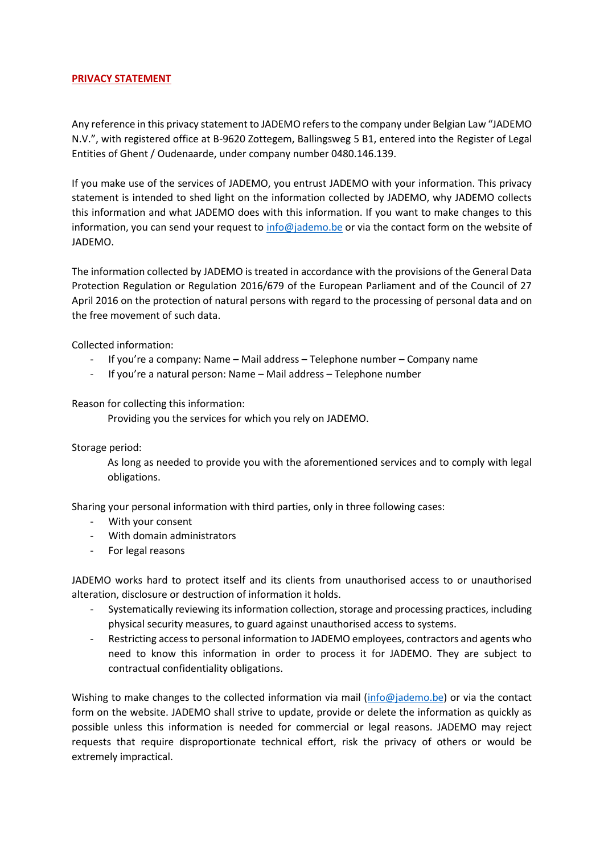## **PRIVACY STATEMENT**

Any reference in this privacy statement to JADEMO refers to the company under Belgian Law "JADEMO N.V.", with registered office at B-9620 Zottegem, Ballingsweg 5 B1, entered into the Register of Legal Entities of Ghent / Oudenaarde, under company number 0480.146.139.

If you make use of the services of JADEMO, you entrust JADEMO with your information. This privacy statement is intended to shed light on the information collected by JADEMO, why JADEMO collects this information and what JADEMO does with this information. If you want to make changes to this information, you can send your request t[o info@jademo.be](mailto:info@jademo.be) or via the contact form on the website of JADEMO.

The information collected by JADEMO is treated in accordance with the provisions of the General Data Protection Regulation or Regulation 2016/679 of the European Parliament and of the Council of 27 April 2016 on the protection of natural persons with regard to the processing of personal data and on the free movement of such data.

Collected information:

- If you're a company: Name Mail address Telephone number Company name
- If you're a natural person: Name Mail address Telephone number

Reason for collecting this information:

Providing you the services for which you rely on JADEMO.

Storage period:

As long as needed to provide you with the aforementioned services and to comply with legal obligations.

Sharing your personal information with third parties, only in three following cases:

- With your consent
- With domain administrators
- For legal reasons

JADEMO works hard to protect itself and its clients from unauthorised access to or unauthorised alteration, disclosure or destruction of information it holds.

- Systematically reviewing itsinformation collection, storage and processing practices, including physical security measures, to guard against unauthorised access to systems.
- Restricting access to personal information to JADEMO employees, contractors and agents who need to know this information in order to process it for JADEMO. They are subject to contractual confidentiality obligations.

Wishing to make changes to the collected information via mail [\(info@jademo.be\)](mailto:info@jademo.be) or via the contact form on the website. JADEMO shall strive to update, provide or delete the information as quickly as possible unless this information is needed for commercial or legal reasons. JADEMO may reject requests that require disproportionate technical effort, risk the privacy of others or would be extremely impractical.